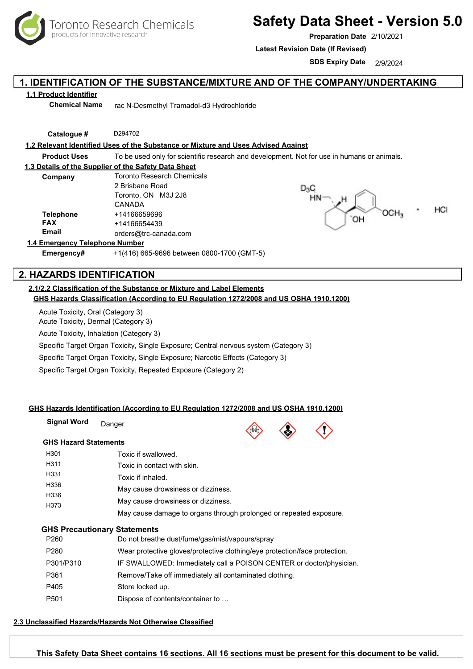

# **Safety Data Sheet - Version 5.0**

**Preparation Date** 2/10/2021

**Latest Revision Date (If Revised)**

**SDS Expiry Date** 2/9/2024

## **1. IDENTIFICATION OF THE SUBSTANCE/MIXTURE AND OF THE COMPANY/UNDERTAKING**

### **1.1 Product Identifier**

**Chemical Name** rac N-Desmethyl Tramadol-d3 Hydrochloride

**Catalogue #** D294702

#### **1.2 Relevant Identified Uses of the Substance or Mixture and Uses Advised Against**

**Product Uses** To be used only for scientific research and development. Not for use in humans or animals.

#### **1.3 Details of the Supplier of the Safety Data Sheet**

| Company                    | Toronto Research Chemicals |  |
|----------------------------|----------------------------|--|
|                            | 2 Brisbane Road            |  |
|                            | Toronto, ON M3J 2J8        |  |
|                            | CANADA                     |  |
| <b>Telephone</b>           | +14166659696               |  |
| <b>FAX</b>                 | +14166654439               |  |
| <b>Email</b>               | orders@trc-canada.com      |  |
| -margancy Talanhona Numhar |                            |  |



#### **1.4 Eme**

**Emergency#** +1(416) 665-9696 between 0800-1700 (GMT-5)

## **2. HAZARDS IDENTIFICATION**

#### **2.1/2.2 Classification of the Substance or Mixture and Label Elements GHS Hazards Classification (According to EU Regulation 1272/2008 and US OSHA 1910.1200)**

Acute Toxicity, Oral (Category 3)

Acute Toxicity, Dermal (Category 3)

Acute Toxicity, Inhalation (Category 3)

Specific Target Organ Toxicity, Single Exposure; Central nervous system (Category 3)

Specific Target Organ Toxicity, Single Exposure; Narcotic Effects (Category 3)

Specific Target Organ Toxicity, Repeated Exposure (Category 2)

#### **GHS Hazards Identification (According to EU Regulation 1272/2008 and US OSHA 1910.1200)**

| Signal Word                  | Danger | $\mathbb{R}$ | $\langle \cdot \rangle$ |  |
|------------------------------|--------|--------------|-------------------------|--|
| <b>GHS Hazard Statements</b> |        |              |                         |  |

| H301 | Toxic if swallowed.                                                |
|------|--------------------------------------------------------------------|
| H311 | Toxic in contact with skin.                                        |
| H331 | Toxic if inhaled.                                                  |
| H336 | May cause drowsiness or dizziness.                                 |
| H336 | May cause drowsiness or dizziness.                                 |
| H373 |                                                                    |
|      | May cause damage to organs through prolonged or repeated exposure. |

#### **GHS Precautionary Statements**

| Wear protective gloves/protective clothing/eye protection/face protection.<br>P <sub>280</sub><br>P301/P310<br>Remove/Take off immediately all contaminated clothing.<br>P361<br>P405<br>Store locked up.<br>P <sub>501</sub><br>Dispose of contents/container to | P <sub>260</sub> | Do not breathe dust/fume/gas/mist/vapours/spray                     |
|-------------------------------------------------------------------------------------------------------------------------------------------------------------------------------------------------------------------------------------------------------------------|------------------|---------------------------------------------------------------------|
|                                                                                                                                                                                                                                                                   |                  |                                                                     |
|                                                                                                                                                                                                                                                                   |                  | IF SWALLOWED: Immediately call a POISON CENTER or doctor/physician. |
|                                                                                                                                                                                                                                                                   |                  |                                                                     |
|                                                                                                                                                                                                                                                                   |                  |                                                                     |
|                                                                                                                                                                                                                                                                   |                  |                                                                     |

#### **2.3 Unclassified Hazards/Hazards Not Otherwise Classified**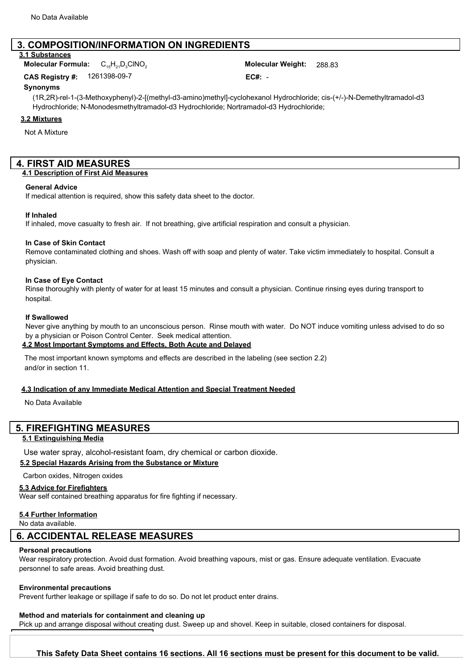## **3. COMPOSITION/INFORMATION ON INGREDIENTS**

#### **3.1 Substances**

C15H21D3ClNO<sup>2</sup> 288.83 **Molecular Formula: Molecular Weight:**

1261398-09-7 **- EC#:** -**CAS Registry #:** 

#### **Synonyms**

(1R,2R)-rel-1-(3-Methoxyphenyl)-2-[(methyl-d3-amino)methyl]-cyclohexanol Hydrochloride; cis-(+/-)-N-Demethyltramadol-d3 Hydrochloride; N-Monodesmethyltramadol-d3 Hydrochloride; Nortramadol-d3 Hydrochloride;

#### **3.2 Mixtures**

Not A Mixture

## **4. FIRST AID MEASURES**

#### **4.1 Description of First Aid Measures**

#### **General Advice**

If medical attention is required, show this safety data sheet to the doctor.

#### **If Inhaled**

If inhaled, move casualty to fresh air. If not breathing, give artificial respiration and consult a physician.

#### **In Case of Skin Contact**

Remove contaminated clothing and shoes. Wash off with soap and plenty of water. Take victim immediately to hospital. Consult a physician.

#### **In Case of Eye Contact**

Rinse thoroughly with plenty of water for at least 15 minutes and consult a physician. Continue rinsing eyes during transport to hospital.

#### **If Swallowed**

Never give anything by mouth to an unconscious person. Rinse mouth with water. Do NOT induce vomiting unless advised to do so by a physician or Poison Control Center. Seek medical attention.

#### **4.2 Most Important Symptoms and Effects, Both Acute and Delayed**

The most important known symptoms and effects are described in the labeling (see section 2.2) and/or in section 11.

#### **4.3 Indication of any Immediate Medical Attention and Special Treatment Needed**

No Data Available

### **5. FIREFIGHTING MEASURES**

#### **5.1 Extinguishing Media**

Use water spray, alcohol-resistant foam, dry chemical or carbon dioxide.

#### **5.2 Special Hazards Arising from the Substance or Mixture**

Carbon oxides, Nitrogen oxides

#### **5.3 Advice for Firefighters**

Wear self contained breathing apparatus for fire fighting if necessary.

#### **5.4 Further Information**

No data available.

### **6. ACCIDENTAL RELEASE MEASURES**

#### **Personal precautions**

Wear respiratory protection. Avoid dust formation. Avoid breathing vapours, mist or gas. Ensure adequate ventilation. Evacuate personnel to safe areas. Avoid breathing dust.

#### **Environmental precautions**

Prevent further leakage or spillage if safe to do so. Do not let product enter drains.

### **Method and materials for containment and cleaning up**

Pick up and arrange disposal without creating dust. Sweep up and shovel. Keep in suitable, closed containers for disposal.

## Toronto Research Chemicals - D294702 Page <sup>2</sup> **This Safety Data Sheet contains 16 sections. All 16 sections must be present for this document to be valid.**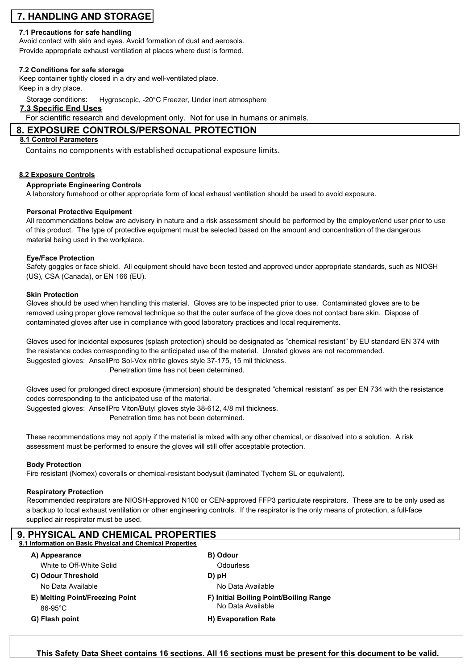## **7. HANDLING AND STORAGE**

## **7.1 Precautions for safe handling**

Avoid contact with skin and eyes. Avoid formation of dust and aerosols. Provide appropriate exhaust ventilation at places where dust is formed.

## **7.2 Conditions for safe storage**

Keep container tightly closed in a dry and well-ventilated place.

Keep in a dry place.

Storage conditions: Hygroscopic, -20°C Freezer, Under inert atmosphere

## **7.3 Specific End Uses**

For scientific research and development only. Not for use in humans or animals.

## **8. EXPOSURE CONTROLS/PERSONAL PROTECTION**

## **8.1 Control Parameters**

Contains no components with established occupational exposure limits.

## **8.2 Exposure Controls**

## **Appropriate Engineering Controls**

A laboratory fumehood or other appropriate form of local exhaust ventilation should be used to avoid exposure.

## **Personal Protective Equipment**

All recommendations below are advisory in nature and a risk assessment should be performed by the employer/end user prior to use of this product. The type of protective equipment must be selected based on the amount and concentration of the dangerous material being used in the workplace.

#### **Eye/Face Protection**

Safety goggles or face shield. All equipment should have been tested and approved under appropriate standards, such as NIOSH (US), CSA (Canada), or EN 166 (EU).

#### **Skin Protection**

Gloves should be used when handling this material. Gloves are to be inspected prior to use. Contaminated gloves are to be removed using proper glove removal technique so that the outer surface of the glove does not contact bare skin. Dispose of contaminated gloves after use in compliance with good laboratory practices and local requirements.

Gloves used for incidental exposures (splash protection) should be designated as "chemical resistant" by EU standard EN 374 with the resistance codes corresponding to the anticipated use of the material. Unrated gloves are not recommended. Suggested gloves: AnsellPro Sol-Vex nitrile gloves style 37-175, 15 mil thickness. Penetration time has not been determined.

Gloves used for prolonged direct exposure (immersion) should be designated "chemical resistant" as per EN 734 with the resistance codes corresponding to the anticipated use of the material.

Suggested gloves: AnsellPro Viton/Butyl gloves style 38-612, 4/8 mil thickness.

Penetration time has not been determined.

These recommendations may not apply if the material is mixed with any other chemical, or dissolved into a solution. A risk assessment must be performed to ensure the gloves will still offer acceptable protection.

#### **Body Protection**

Fire resistant (Nomex) coveralls or chemical-resistant bodysuit (laminated Tychem SL or equivalent).

#### **Respiratory Protection**

Recommended respirators are NIOSH-approved N100 or CEN-approved FFP3 particulate respirators. These are to be only used as a backup to local exhaust ventilation or other engineering controls. If the respirator is the only means of protection, a full-face supplied air respirator must be used.

| <b>9. PHYSICAL AND CHEMICAL PROPERTIES</b>                |                                        |  |
|-----------------------------------------------------------|----------------------------------------|--|
| 9.1 Information on Basic Physical and Chemical Properties |                                        |  |
| A) Appearance                                             | B) Odour                               |  |
| White to Off-White Solid                                  | <b>Odourless</b>                       |  |
| C) Odour Threshold                                        | D) pH                                  |  |
| No Data Available                                         | No Data Available                      |  |
| E) Melting Point/Freezing Point                           | F) Initial Boiling Point/Boiling Range |  |
| $86-95^{\circ}$ C                                         | No Data Available                      |  |
| G) Flash point                                            | H) Evaporation Rate                    |  |
|                                                           |                                        |  |

Toronto Research Chemicals - D294702 Page <sup>3</sup> **This Safety Data Sheet contains 16 sections. All 16 sections must be present for this document to be valid.**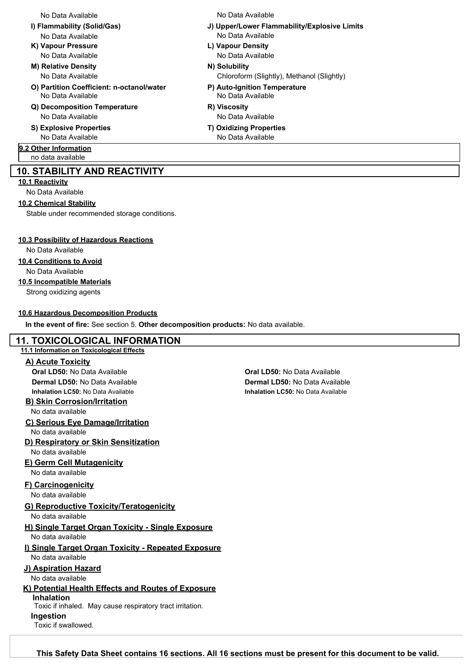- No Data Available No Data Available
- **K) Vapour Pressure L) Vapour Density** No Data Available No Data Available
- **M) Relative Density N) Solubility** No Data Available
- **O) Partition Coefficient: n-octanol/water P) Auto-Ignition Temperature** No Data Available No Data Available
- **Q) Decomposition Temperature R) Viscosity** No Data Available No Data Available
- **S) Explosive Properties T) Oxidizing Properties**

## **9.2 Other Information**

no data available

#### **10. STABILITY AND REACTIVITY**

**10.1 Reactivity**

No Data Available

#### **10.2 Chemical Stability**

Stable under recommended storage conditions.

#### **10.3 Possibility of Hazardous Reactions**

No Data Available

#### **10.4 Conditions to Avoid**

No Data Available

#### **10.5 Incompatible Materials**

Strong oxidizing agents

#### **10.6 Hazardous Decomposition Products**

**In the event of fire:** See section 5. **Other decomposition products:** No data available.

### **11. TOXICOLOGICAL INFORMATION**

#### **11.1 Information on Toxicological Effects**

#### **A) Acute Toxicity**

**Oral LD50:** No Data Available **Oral LD50:** No Data Available **Inhalation LC50:** No Data Available **Inhalation LC50:** No Data Available

## **B) Skin Corrosion/Irritation**

No data available

## **C) Serious Eye Damage/Irritation**

No data available

**D) Respiratory or Skin Sensitization** No data available

#### **E) Germ Cell Mutagenicity** No data available

## **F) Carcinogenicity**

No data available

## **G) Reproductive Toxicity/Teratogenicity**

No data available

- **H) Single Target Organ Toxicity Single Exposure** No data available
- **I) Single Target Organ Toxicity Repeated Exposure** No data available

## **J) Aspiration Hazard**

No data available

#### **K) Potential Health Effects and Routes of Exposure Inhalation**

Toxic if inhaled. May cause respiratory tract irritation. Toxic if swallowed. **Ingestion**

**Dermal LD50:** No Data Available **Dermal LD50:** No Data Available

#### No Data Available No Data Available

- **I) Flammability (Solid/Gas) J) Upper/Lower Flammability/Explosive Limits**
	- -

Chloroform (Slightly), Methanol (Slightly)

- 
- 
- No Data Available No Data Available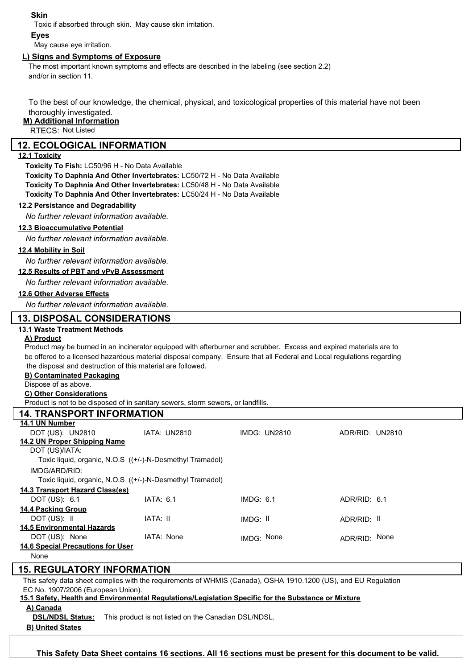#### **Skin**

Toxic if absorbed through skin. May cause skin irritation.

#### **Eyes**

May cause eye irritation.

#### **L) Signs and Symptoms of Exposure**

The most important known symptoms and effects are described in the labeling (see section 2.2) and/or in section 11.

To the best of our knowledge, the chemical, physical, and toxicological properties of this material have not been thoroughly investigated.

## **M) Additional Information**

RTECS: Not Listed

#### **12. ECOLOGICAL INFORMATION**

#### **12.1 Toxicity**

**Toxicity To Fish:** LC50/96 H - No Data Available

**Toxicity To Daphnia And Other Invertebrates:** LC50/72 H - No Data Available

**Toxicity To Daphnia And Other Invertebrates:** LC50/48 H - No Data Available

**Toxicity To Daphnia And Other Invertebrates:** LC50/24 H - No Data Available

#### **12.2 Persistance and Degradability**

*No further relevant information available.*

#### **12.3 Bioaccumulative Potential**

*No further relevant information available.*

#### **12.4 Mobility in Soil**

*No further relevant information available.*

#### **12.5 Results of PBT and vPvB Assessment**

*No further relevant information available.*

#### **12.6 Other Adverse Effects**

*No further relevant information available.*

#### **13. DISPOSAL CONSIDERATIONS**

#### **13.1 Waste Treatment Methods**

#### **A) Product**

Product may be burned in an incinerator equipped with afterburner and scrubber. Excess and expired materials are to be offered to a licensed hazardous material disposal company. Ensure that all Federal and Local regulations regarding the disposal and destruction of this material are followed.

#### **B) Contaminated Packaging**

Dispose of as above.

#### **C) Other Considerations**

Product is not to be disposed of in sanitary sewers, storm sewers, or landfills.

# **14. TRANSPORT INFORMATION**

| 14.1 UN Number                           |                                                           |              |                 |  |
|------------------------------------------|-----------------------------------------------------------|--------------|-----------------|--|
| DOT (US): UN2810                         | IATA: UN2810                                              | IMDG: UN2810 | ADR/RID: UN2810 |  |
| 14.2 UN Proper Shipping Name             |                                                           |              |                 |  |
| DOT (US)/IATA:                           |                                                           |              |                 |  |
|                                          | Toxic liquid, organic, N.O.S ((+/-)-N-Desmethyl Tramadol) |              |                 |  |
| IMDG/ARD/RID:                            |                                                           |              |                 |  |
|                                          | Toxic liquid, organic, N.O.S ((+/-)-N-Desmethyl Tramadol) |              |                 |  |
| 14.3 Transport Hazard Class(es)          |                                                           |              |                 |  |
| DOT (US): 6.1                            | IATA: 6.1                                                 | IMDG: 6.1    | ADR/RID: 6.1    |  |
| <b>14.4 Packing Group</b>                |                                                           |              |                 |  |
| DOT (US): II                             | IATA: II                                                  | IMDG: II     | ADR/RID: II     |  |
| <b>14.5 Environmental Hazards</b>        |                                                           |              |                 |  |
| DOT (US): None                           | IATA: None                                                | IMDG: None   | ADR/RID: None   |  |
| <b>14.6 Special Precautions for User</b> |                                                           |              |                 |  |
| None                                     |                                                           |              |                 |  |
| <b>15. REGULATORY INFORMATION</b>        |                                                           |              |                 |  |

This safety data sheet complies with the requirements of WHMIS (Canada), OSHA 1910.1200 (US), and EU Regulation

## EC No. 1907/2006 (European Union).

**15.1 Safety, Health and Environmental Regulations/Legislation Specific for the Substance or Mixture A) Canada**

**DSL/NDSL Status:** This product is not listed on the Canadian DSL/NDSL.

#### **B) United States**

Toronto Research Chemicals - D294702 Page <sup>5</sup> **This Safety Data Sheet contains 16 sections. All 16 sections must be present for this document to be valid.**